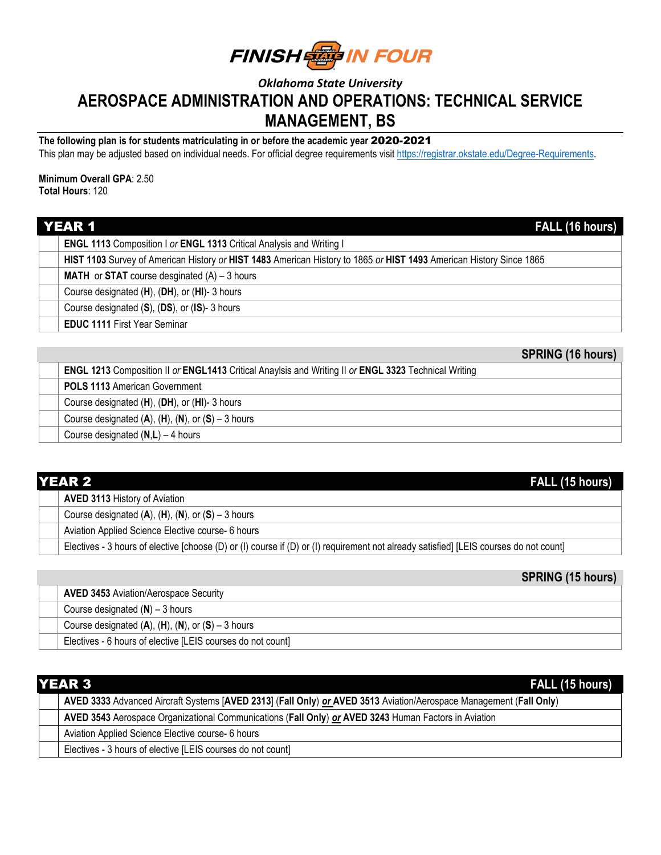**FINISH EN IN FOUR** 

## *Oklahoma State University* **AEROSPACE ADMINISTRATION AND OPERATIONS: TECHNICAL SERVICE MANAGEMENT, BS**

**The following plan is for students matriculating in or before the academic year** 2020-2021

This plan may be adjusted based on individual needs. For official degree requirements visit [https://registrar.okstate.edu/Degree-Requirements.](https://registrar.okstate.edu/Degree-Requirements)

**Minimum Overall GPA**: 2.50 **Total Hours**: 120

| <b>YEAR 1</b><br>FALL (16 hours)                                                                                    |  |
|---------------------------------------------------------------------------------------------------------------------|--|
| <b>ENGL 1113 Composition I or ENGL 1313 Critical Analysis and Writing I</b>                                         |  |
| HIST 1103 Survey of American History or HIST 1483 American History to 1865 or HIST 1493 American History Since 1865 |  |
| <b>MATH</b> or <b>STAT</b> course desginated $(A) - 3$ hours                                                        |  |
| Course designated (H), (DH), or (HI)-3 hours                                                                        |  |
| Course designated (S), (DS), or (IS)-3 hours                                                                        |  |
| <b>EDUC 1111 First Year Seminar</b>                                                                                 |  |

| <b>ENGL 1213</b> Composition II or <b>ENGL1413</b> Critical Anaylsis and Writing II or <b>ENGL 3323</b> Technical Writing |
|---------------------------------------------------------------------------------------------------------------------------|
| <b>POLS 1113 American Government</b>                                                                                      |
| Course designated (H), (DH), or (HI)- 3 hours                                                                             |
| Course designated $(A)$ , $(H)$ , $(N)$ , or $(S)$ – 3 hours                                                              |
| Course designated $(N,L) - 4$ hours                                                                                       |

| <b>YEAR 2</b><br>FALL (15 hours)                                                                                                       |  |
|----------------------------------------------------------------------------------------------------------------------------------------|--|
| <b>AVED 3113 History of Aviation</b>                                                                                                   |  |
| Course designated $(A)$ , $(H)$ , $(N)$ , or $(S)$ – 3 hours                                                                           |  |
| Aviation Applied Science Elective course- 6 hours                                                                                      |  |
| Electives - 3 hours of elective [choose (D) or (I) course if (D) or (I) requirement not already satisfied] [LEIS courses do not count] |  |

## **SPRING (15 hours)**

| <b>AVED 3453 Aviation/Aerospace Security</b>                 |
|--------------------------------------------------------------|
| Course designated $(N)$ – 3 hours                            |
| Course designated $(A)$ , $(H)$ , $(N)$ , or $(S)$ – 3 hours |
| Electives - 6 hours of elective [LEIS courses do not count]  |

| <b>IYEAR 3</b><br>FALL (15 hours)                                                                                  |  |
|--------------------------------------------------------------------------------------------------------------------|--|
| AVED 3333 Advanced Aircraft Systems [AVED 2313] (Fall Only) or AVED 3513 Aviation/Aerospace Management (Fall Only) |  |
| AVED 3543 Aerospace Organizational Communications (Fall Only) or AVED 3243 Human Factors in Aviation               |  |
| Aviation Applied Science Elective course- 6 hours                                                                  |  |
| Electives - 3 hours of elective [LEIS courses do not count]                                                        |  |

**SPRING (16 hours)**